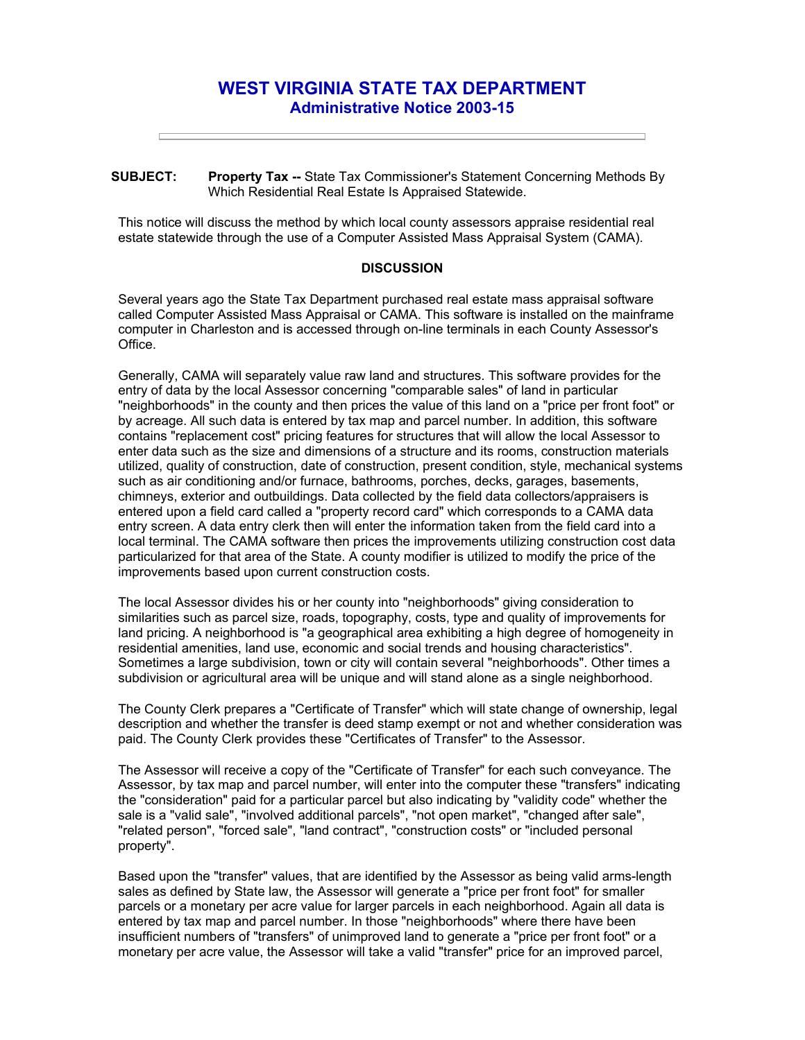## **WEST VIRGINIA STATE TAX DEPARTMENT Administrative Notice 2003-15**

**SUBJECT: Property Tax --** State Tax Commissioner's Statement Concerning Methods By Which Residential Real Estate Is Appraised Statewide.

This notice will discuss the method by which local county assessors appraise residential real estate statewide through the use of a Computer Assisted Mass Appraisal System (CAMA).

## **DISCUSSION**

Several years ago the State Tax Department purchased real estate mass appraisal software called Computer Assisted Mass Appraisal or CAMA. This software is installed on the mainframe computer in Charleston and is accessed through on-line terminals in each County Assessor's Office.

Generally, CAMA will separately value raw land and structures. This software provides for the entry of data by the local Assessor concerning "comparable sales" of land in particular "neighborhoods" in the county and then prices the value of this land on a "price per front foot" or by acreage. All such data is entered by tax map and parcel number. In addition, this software contains "replacement cost" pricing features for structures that will allow the local Assessor to enter data such as the size and dimensions of a structure and its rooms, construction materials utilized, quality of construction, date of construction, present condition, style, mechanical systems such as air conditioning and/or furnace, bathrooms, porches, decks, garages, basements, chimneys, exterior and outbuildings. Data collected by the field data collectors/appraisers is entered upon a field card called a "property record card" which corresponds to a CAMA data entry screen. A data entry clerk then will enter the information taken from the field card into a local terminal. The CAMA software then prices the improvements utilizing construction cost data particularized for that area of the State. A county modifier is utilized to modify the price of the improvements based upon current construction costs.

The local Assessor divides his or her county into "neighborhoods" giving consideration to similarities such as parcel size, roads, topography, costs, type and quality of improvements for land pricing. A neighborhood is "a geographical area exhibiting a high degree of homogeneity in residential amenities, land use, economic and social trends and housing characteristics". Sometimes a large subdivision, town or city will contain several "neighborhoods". Other times a subdivision or agricultural area will be unique and will stand alone as a single neighborhood.

The County Clerk prepares a "Certificate of Transfer" which will state change of ownership, legal description and whether the transfer is deed stamp exempt or not and whether consideration was paid. The County Clerk provides these "Certificates of Transfer" to the Assessor.

The Assessor will receive a copy of the "Certificate of Transfer" for each such conveyance. The Assessor, by tax map and parcel number, will enter into the computer these "transfers" indicating the "consideration" paid for a particular parcel but also indicating by "validity code" whether the sale is a "valid sale", "involved additional parcels", "not open market", "changed after sale", "related person", "forced sale", "land contract", "construction costs" or "included personal property".

Based upon the "transfer" values, that are identified by the Assessor as being valid arms-length sales as defined by State law, the Assessor will generate a "price per front foot" for smaller parcels or a monetary per acre value for larger parcels in each neighborhood. Again all data is entered by tax map and parcel number. In those "neighborhoods" where there have been insufficient numbers of "transfers" of unimproved land to generate a "price per front foot" or a monetary per acre value, the Assessor will take a valid "transfer" price for an improved parcel,